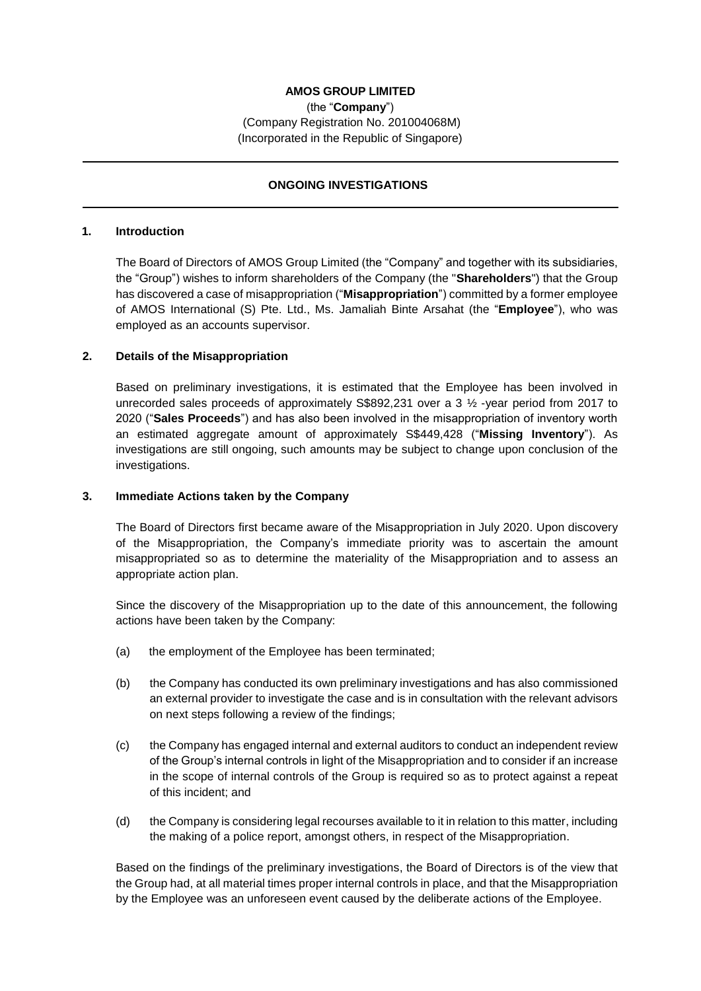# **AMOS GROUP LIMITED**

(the "**Company**") (Company Registration No. 201004068M) (Incorporated in the Republic of Singapore)

## **ONGOING INVESTIGATIONS**

#### **1. Introduction**

The Board of Directors of AMOS Group Limited (the "Company" and together with its subsidiaries, the "Group") wishes to inform shareholders of the Company (the "**Shareholders**") that the Group has discovered a case of misappropriation ("**Misappropriation**") committed by a former employee of AMOS International (S) Pte. Ltd., Ms. Jamaliah Binte Arsahat (the "**Employee**"), who was employed as an accounts supervisor.

### **2. Details of the Misappropriation**

Based on preliminary investigations, it is estimated that the Employee has been involved in unrecorded sales proceeds of approximately S\$892,231 over a 3  $\frac{1}{2}$ -year period from 2017 to 2020 ("**Sales Proceeds**") and has also been involved in the misappropriation of inventory worth an estimated aggregate amount of approximately S\$449,428 ("**Missing Inventory**"). As investigations are still ongoing, such amounts may be subject to change upon conclusion of the investigations.

#### **3. Immediate Actions taken by the Company**

The Board of Directors first became aware of the Misappropriation in July 2020. Upon discovery of the Misappropriation, the Company's immediate priority was to ascertain the amount misappropriated so as to determine the materiality of the Misappropriation and to assess an appropriate action plan.

Since the discovery of the Misappropriation up to the date of this announcement, the following actions have been taken by the Company:

- (a) the employment of the Employee has been terminated;
- (b) the Company has conducted its own preliminary investigations and has also commissioned an external provider to investigate the case and is in consultation with the relevant advisors on next steps following a review of the findings;
- (c) the Company has engaged internal and external auditors to conduct an independent review of the Group's internal controls in light of the Misappropriation and to consider if an increase in the scope of internal controls of the Group is required so as to protect against a repeat of this incident; and
- (d) the Company is considering legal recourses available to it in relation to this matter, including the making of a police report, amongst others, in respect of the Misappropriation.

Based on the findings of the preliminary investigations, the Board of Directors is of the view that the Group had, at all material times proper internal controls in place, and that the Misappropriation by the Employee was an unforeseen event caused by the deliberate actions of the Employee.